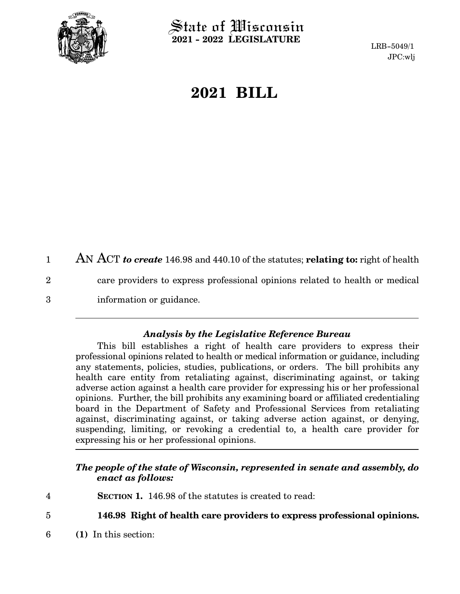

 $\operatorname{\mathsf{State}}$  of Wisconsin **2021 - 2022 LEGISLATURE**

LRB-5049/1 JPC:wlj

## **2021 BILL**

AN ACT *to create* 146.98 and 440.10 of the statutes; **relating to:** right of health care providers to express professional opinions related to health or medical information or guidance. 1 2 3

## *Analysis by the Legislative Reference Bureau*

This bill establishes a right of health care providers to express their professional opinions related to health or medical information or guidance, including any statements, policies, studies, publications, or orders. The bill prohibits any health care entity from retaliating against, discriminating against, or taking adverse action against a health care provider for expressing his or her professional opinions. Further, the bill prohibits any examining board or affiliated credentialing board in the Department of Safety and Professional Services from retaliating against, discriminating against, or taking adverse action against, or denying, suspending, limiting, or revoking a credential to, a health care provider for expressing his or her professional opinions.

## *The people of the state of Wisconsin, represented in senate and assembly, do enact as follows:*

**SECTION 1.** 146.98 of the statutes is created to read: 4

**146.98 Right of health care providers to express professional opinions.** 5

**(1)** In this section: 6